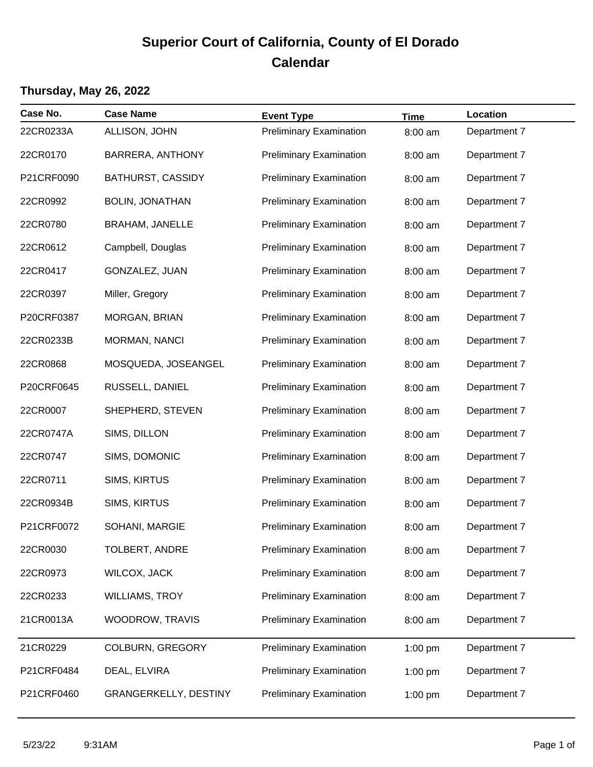## **Superior Court of California, County of El Dorado Calendar**

## **Thursday, May 26, 2022**

| Case No.   | <b>Case Name</b>             | <b>Event Type</b>              | <b>Time</b> | Location     |
|------------|------------------------------|--------------------------------|-------------|--------------|
| 22CR0233A  | ALLISON, JOHN                | <b>Preliminary Examination</b> | 8:00 am     | Department 7 |
| 22CR0170   | BARRERA, ANTHONY             | <b>Preliminary Examination</b> | 8:00 am     | Department 7 |
| P21CRF0090 | <b>BATHURST, CASSIDY</b>     | <b>Preliminary Examination</b> | 8:00 am     | Department 7 |
| 22CR0992   | <b>BOLIN, JONATHAN</b>       | <b>Preliminary Examination</b> | 8:00 am     | Department 7 |
| 22CR0780   | <b>BRAHAM, JANELLE</b>       | <b>Preliminary Examination</b> | 8:00 am     | Department 7 |
| 22CR0612   | Campbell, Douglas            | <b>Preliminary Examination</b> | 8:00 am     | Department 7 |
| 22CR0417   | GONZALEZ, JUAN               | <b>Preliminary Examination</b> | 8:00 am     | Department 7 |
| 22CR0397   | Miller, Gregory              | <b>Preliminary Examination</b> | 8:00 am     | Department 7 |
| P20CRF0387 | MORGAN, BRIAN                | <b>Preliminary Examination</b> | 8:00 am     | Department 7 |
| 22CR0233B  | MORMAN, NANCI                | <b>Preliminary Examination</b> | 8:00 am     | Department 7 |
| 22CR0868   | MOSQUEDA, JOSEANGEL          | <b>Preliminary Examination</b> | 8:00 am     | Department 7 |
| P20CRF0645 | RUSSELL, DANIEL              | <b>Preliminary Examination</b> | 8:00 am     | Department 7 |
| 22CR0007   | SHEPHERD, STEVEN             | <b>Preliminary Examination</b> | 8:00 am     | Department 7 |
| 22CR0747A  | SIMS, DILLON                 | <b>Preliminary Examination</b> | 8:00 am     | Department 7 |
| 22CR0747   | SIMS, DOMONIC                | <b>Preliminary Examination</b> | 8:00 am     | Department 7 |
| 22CR0711   | SIMS, KIRTUS                 | <b>Preliminary Examination</b> | 8:00 am     | Department 7 |
| 22CR0934B  | SIMS, KIRTUS                 | <b>Preliminary Examination</b> | 8:00 am     | Department 7 |
| P21CRF0072 | SOHANI, MARGIE               | <b>Preliminary Examination</b> | 8:00 am     | Department 7 |
| 22CR0030   | <b>TOLBERT, ANDRE</b>        | <b>Preliminary Examination</b> | 8:00 am     | Department 7 |
| 22CR0973   | <b>WILCOX, JACK</b>          | <b>Preliminary Examination</b> | 8:00 am     | Department 7 |
| 22CR0233   | <b>WILLIAMS, TROY</b>        | <b>Preliminary Examination</b> | 8:00 am     | Department 7 |
| 21CR0013A  | WOODROW, TRAVIS              | <b>Preliminary Examination</b> | 8:00 am     | Department 7 |
| 21CR0229   | <b>COLBURN, GREGORY</b>      | <b>Preliminary Examination</b> | 1:00 pm     | Department 7 |
| P21CRF0484 | DEAL, ELVIRA                 | <b>Preliminary Examination</b> | $1:00$ pm   | Department 7 |
| P21CRF0460 | <b>GRANGERKELLY, DESTINY</b> | <b>Preliminary Examination</b> | 1:00 pm     | Department 7 |